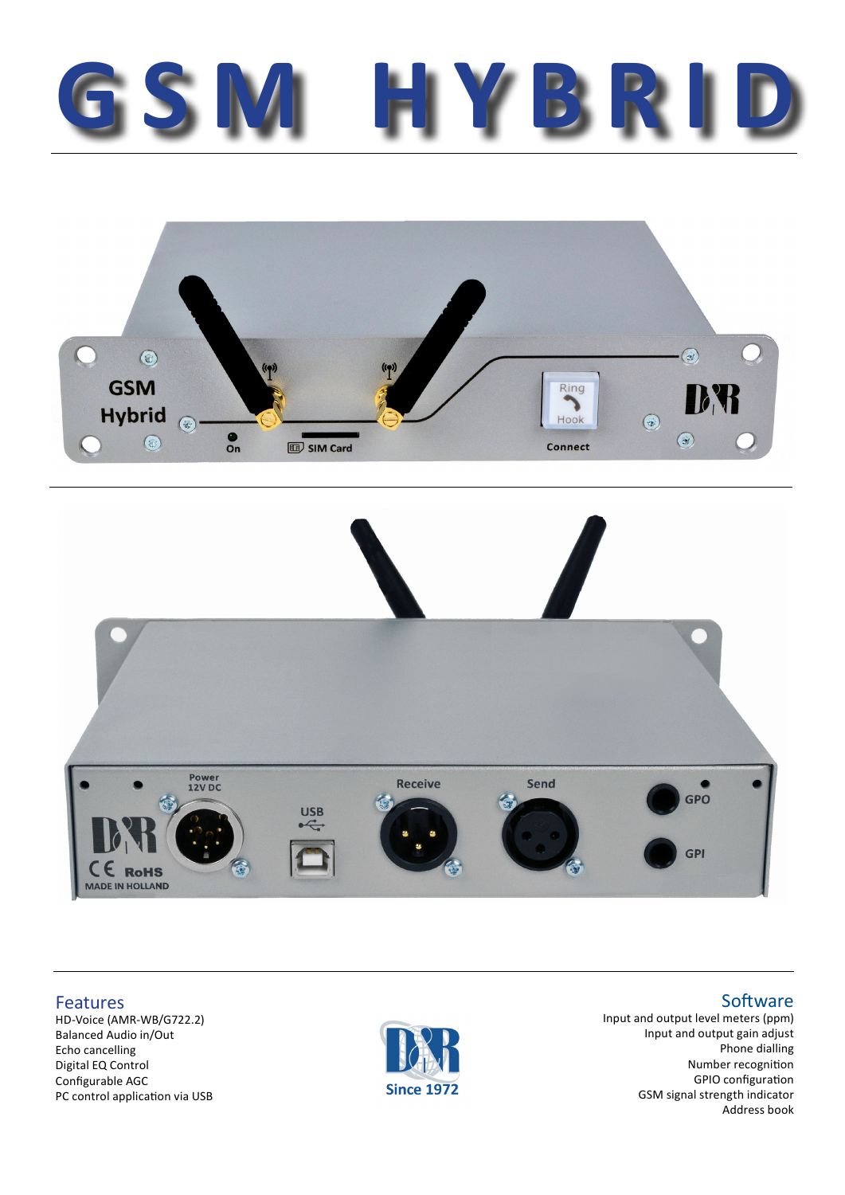## **GSM HYBRID**





Features

HD-Voice (AMR-WB/G722.2) Balanced Audio in/Out Echo cancelling Digital EQ Control Configurable AGC PC control application via USB



Input and output level meters (ppm) Input and output gain adjust Phone dialling Number recognition GPIO configuration GSM signal strength indicator Address book

## **Software**